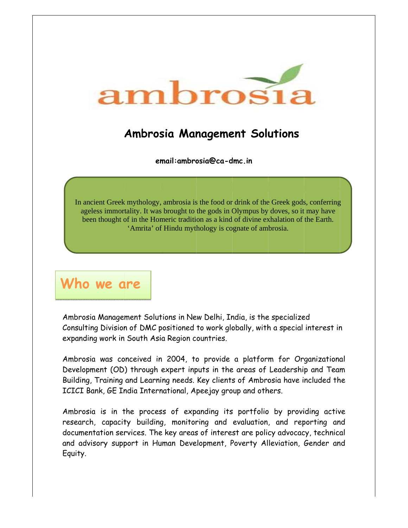

## **Ambrosia Management Solutions**

email: ambrosia@ca-dmc.in

In ancient Greek mythology, ambrosia is the food or drink of the Greek gods, conferring ageless immortality. It was brought to the gods in Olympus by doves, so it may have been thought of in the Homeric tradition as a kind of divine exhalation of the Earth. 'Amrita' of Hindu mythology is cognate of ambrosia.

Who we are

Ambrosia Management Solutions in New Delhi, India, is the specialized Consulting Division of DMC positioned to work globally, with a special interest in expanding work in South Asia Region countries.

Ambrosia was conceived in 2004, to provide a platform for Organizational Development (OD) through expert inputs in the areas of Leadership and Team Building, Training and Learning needs. Key clients of Ambrosia have included the ICICI Bank, GE India International, Apeejay group and others.

Ambrosia is in the process of expanding its portfolio by providing active research, capacity building, monitoring and evaluation, and reporting and documentation services. The key areas of interest are policy advocacy, technical and advisory support in Human Development, Poverty Alleviation, Gender and Equity.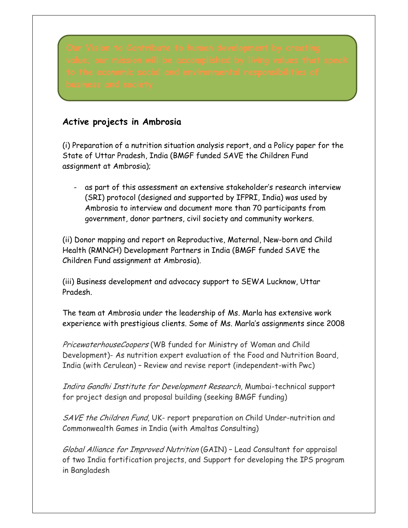## **Active projects in Ambrosia**

(i) Preparation of a nutrition situation analysis report, and a Policy paper for the State of Uttar Pradesh, India (BMGF funded SAVE the Children Fund assignment at Ambrosia);

- as part of this assessment an extensive stakeholder's research interview (SRI) protocol (designed and supported by IFPRI, India) was used by Ambrosia to interview and document more than 70 participants from government, donor partners, civil society and community workers.

(ii) Donor mapping and report on Reproductive, Maternal, New-born and Child Health (RMNCH) Development Partners in India (BMGF funded SAVE the Children Fund assignment at Ambrosia).

(iii) Business development and advocacy support to SEWA Lucknow, Uttar Pradesh.

The team at Ambrosia under the leadership of Ms. Marla has extensive work experience with prestigious clients. Some of Ms. Marla's assignments since 2008

PricewaterhouseCoopers (WB funded for Ministry of Woman and Child Development)- As nutrition expert evaluation of the Food and Nutrition Board, India (with Cerulean) – Review and revise report (independent-with Pwc)

Indira Gandhi Institute for Development Research, Mumbai-technical support for project design and proposal building (seeking BMGF funding)

SAVE the Children Fund, UK- report preparation on Child Under-nutrition and Commonwealth Games in India (with Amaltas Consulting)

Global Alliance for Improved Nutrition (GAIN) – Lead Consultant for appraisal of two India fortification projects, and Support for developing the IPS program in Bangladesh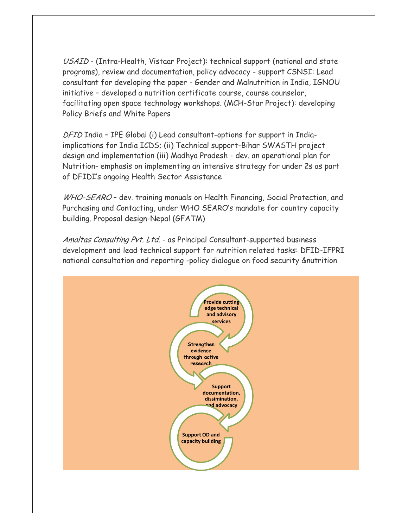USAID - (Intra-Health, Vistaar Project): technical support (national and state programs), review and documentation, policy advocacy - support CSNSI: Lead consultant for developing the paper - Gender and Malnutrition in India, IGNOU initiative – developed a nutrition certificate course, course counselor, facilitating open space technology workshops. (MCH-Star Project): developing Policy Briefs and White Papers

DFID India – IPE Global (i) Lead consultant-options for support in Indiaimplications for India ICDS; (ii) Technical support-Bihar SWASTH project design and implementation (iii) Madhya Pradesh - dev. an operational plan for Nutrition- emphasis on implementing an intensive strategy for under 2s as part of DFIDI's ongoing Health Sector Assistance

WHO-SEARO - dev. training manuals on Health Financing, Social Protection, and Purchasing and Contacting, under WHO SEARO's mandate for country capacity building. Proposal design-Nepal (GFATM)

Amaltas Consulting Pvt. Ltd. - as Principal Consultant-supported business development and lead technical support for nutrition related tasks: DFID-IFPRI national consultation and reporting -policy dialogue on food security &nutrition

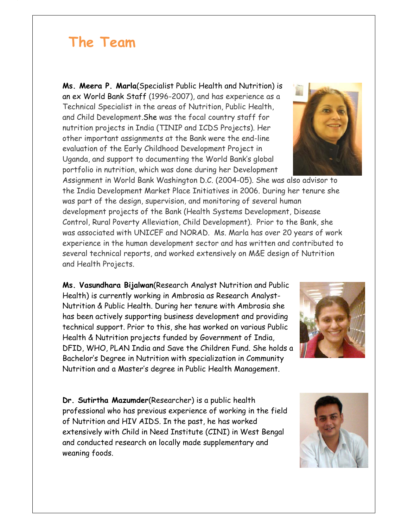## **The Team**

**Ms. Meera P. Marla**(Specialist Public Health and Nutrition) is an ex World Bank Staff (1996-2007), and has experience as a Technical Specialist in the areas of Nutrition, Public Health, and Child Development.She was the focal country staff for nutrition projects in India (TINIP and ICDS Projects). Her other important assignments at the Bank were the end-line evaluation of the Early Childhood Development Project in Uganda, and support to documenting the World Bank's global portfolio in nutrition, which was done during her Development

Assignment in World Bank Washington D.C. (2004-05). She was also advisor to the India Development Market Place Initiatives in 2006. During her tenure she was part of the design, supervision, and monitoring of several human development projects of the Bank (Health Systems Development, Disease Control, Rural Poverty Alleviation, Child Development). Prior to the Bank, she was associated with UNICEF and NORAD. Ms. Marla has over 20 years of work experience in the human development sector and has written and contributed to several technical reports, and worked extensively on M&E design of Nutrition and Health Projects.

**Ms. Vasundhara Bijalwan**(Research Analyst Nutrition and Public Health) is currently working in Ambrosia as Research Analyst-Nutrition & Public Health. During her tenure with Ambrosia she has been actively supporting business development and providing technical support. Prior to this, she has worked on various Public Health & Nutrition projects funded by Government of India, DFID, WHO, PLAN India and Save the Children Fund. She holds a Bachelor's Degree in Nutrition with specialization in Community Nutrition and a Master's degree in Public Health Management.

**Dr. Sutirtha Mazumder**(Researcher) is a public health professional who has previous experience of working in the field of Nutrition and HIV AIDS. In the past, he has worked extensively with Child in Need Institute (CINI) in West Bengal and conducted research on locally made supplementary and weaning foods.